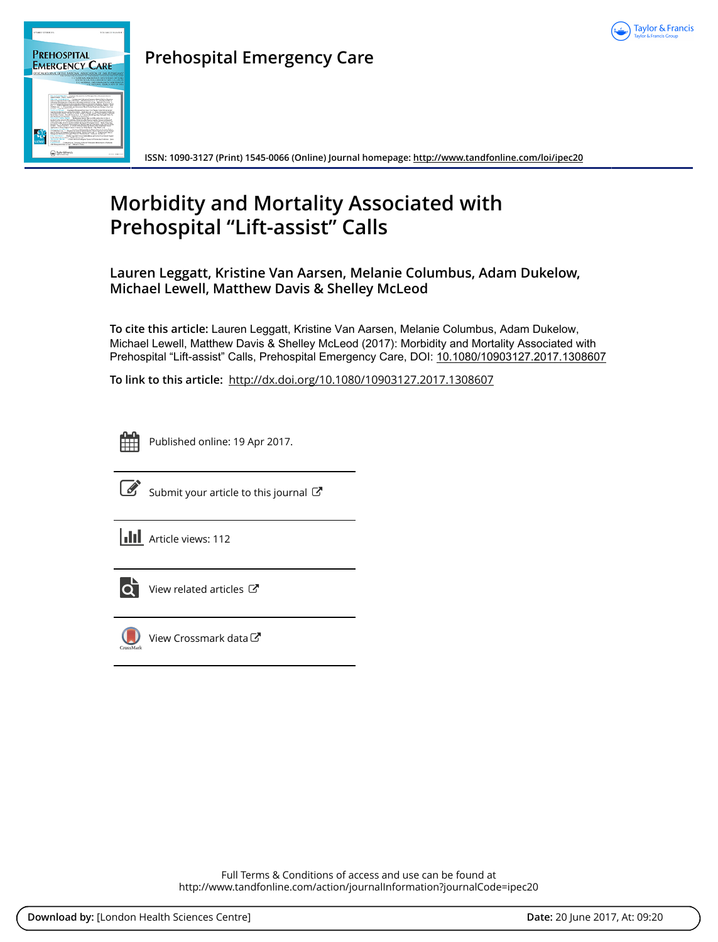



**Prehospital Emergency Care**

**ISSN: 1090-3127 (Print) 1545-0066 (Online) Journal homepage:<http://www.tandfonline.com/loi/ipec20>**

# **Morbidity and Mortality Associated with Prehospital "Lift-assist" Calls**

**Lauren Leggatt, Kristine Van Aarsen, Melanie Columbus, Adam Dukelow, Michael Lewell, Matthew Davis & Shelley McLeod**

**To cite this article:** Lauren Leggatt, Kristine Van Aarsen, Melanie Columbus, Adam Dukelow, Michael Lewell, Matthew Davis & Shelley McLeod (2017): Morbidity and Mortality Associated with Prehospital "Lift-assist" Calls, Prehospital Emergency Care, DOI: [10.1080/10903127.2017.1308607](http://www.tandfonline.com/action/showCitFormats?doi=10.1080/10903127.2017.1308607)

**To link to this article:** <http://dx.doi.org/10.1080/10903127.2017.1308607>

|  | _<br><b>Service Service</b> |  |
|--|-----------------------------|--|
|  |                             |  |
|  |                             |  |
|  |                             |  |

Published online: 19 Apr 2017.



[Submit your article to this journal](http://www.tandfonline.com/action/authorSubmission?journalCode=ipec20&show=instructions)  $\mathbb{Z}$ 

**Article views: 112** 



[View related articles](http://www.tandfonline.com/doi/mlt/10.1080/10903127.2017.1308607)  $\mathbb{Z}$ 



[View Crossmark data](http://crossmark.crossref.org/dialog/?doi=10.1080/10903127.2017.1308607&domain=pdf&date_stamp=2017-04-19)<sup>C</sup>

Full Terms & Conditions of access and use can be found at <http://www.tandfonline.com/action/journalInformation?journalCode=ipec20>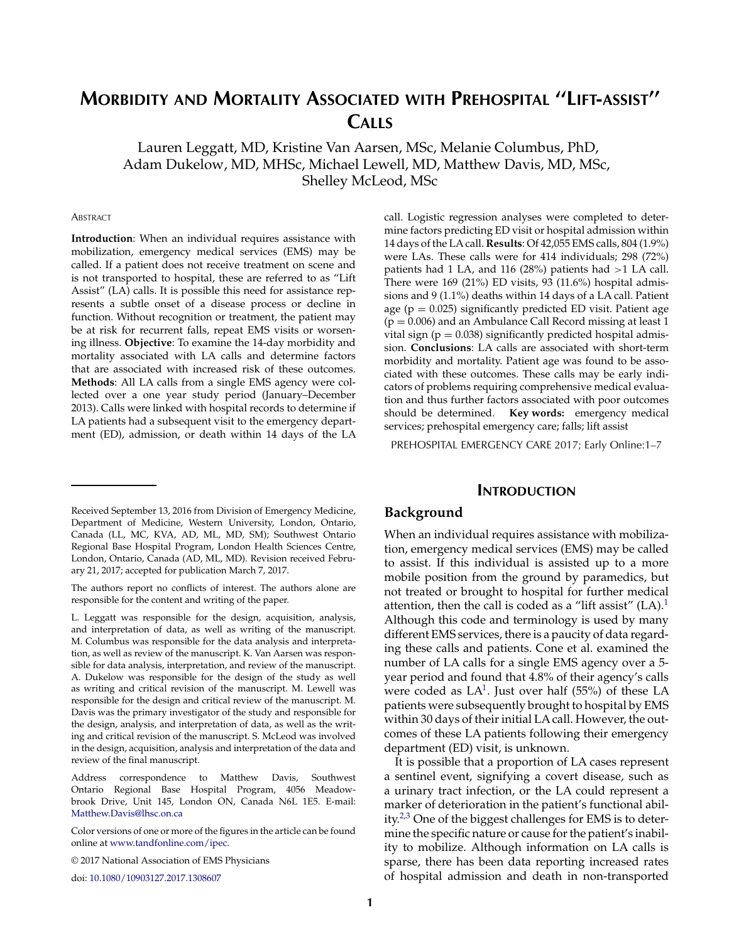## **MORBIDITY AND MORTALITY ASSOCIATED WITH PREHOSPITAL ''LIFT-ASSIST'' CALLS**

Lauren Leggatt, MD, Kristine Van Aarsen, MSc, Melanie Columbus, PhD, Adam Dukelow, MD, MHSc, Michael Lewell, MD, Matthew Davis, MD, MSc, Shelley McLeod, MSc

#### **ABSTRACT**

**Introduction**: When an individual requires assistance with mobilization, emergency medical services (EMS) may be called. If a patient does not receive treatment on scene and is not transported to hospital, these are referred to as "Lift Assist" (LA) calls. It is possible this need for assistance represents a subtle onset of a disease process or decline in function. Without recognition or treatment, the patient may be at risk for recurrent falls, repeat EMS visits or worsening illness. **Objective**: To examine the 14-day morbidity and mortality associated with LA calls and determine factors that are associated with increased risk of these outcomes. **Methods**: All LA calls from a single EMS agency were collected over a one year study period (January–December 2013). Calls were linked with hospital records to determine if LA patients had a subsequent visit to the emergency department (ED), admission, or death within 14 days of the LA

Color versions of one or more of the figures in the article can be found online at [www.tandfonline.com/ipec.](http://www.tandfonline.com/IPEC)

© 2017 National Association of EMS Physicians

doi: [10.1080/10903127.2017.1308607](http://dx.doi.org/10.1080/10903127.2017.1308607)

call. Logistic regression analyses were completed to determine factors predicting ED visit or hospital admission within 14 days of the LA call. **Results**: Of 42,055 EMS calls, 804 (1.9%) were LAs. These calls were for 414 individuals; 298 (72%) patients had 1 LA, and 116 (28%) patients had >1 LA call. There were  $169$  (21%) ED visits, 93 (11.6%) hospital admissions and 9 (1.1%) deaths within 14 days of a LA call. Patient age ( $p = 0.025$ ) significantly predicted ED visit. Patient age  $(p = 0.006)$  and an Ambulance Call Record missing at least 1 vital sign ( $p = 0.038$ ) significantly predicted hospital admission. **Conclusions**: LA calls are associated with short-term morbidity and mortality. Patient age was found to be associated with these outcomes. These calls may be early indicators of problems requiring comprehensive medical evaluation and thus further factors associated with poor outcomes should be determined. **Key words:** emergency medical services; prehospital emergency care; falls; lift assist

PREHOSPITAL EMERGENCY CARE 2017; Early Online:1–7

## **INTRODUCTION**

## **Background**

When an individual requires assistance with mobilization, emergency medical services (EMS) may be called to assist. If this individual is assisted up to a more mobile position from the ground by paramedics, but not treated or brought to hospital for further medical attention, then the call is coded as a "lift assist"  $(LA)^{1}$  $(LA)^{1}$  $(LA)^{1}$ . Although this code and terminology is used by many different EMS services, there is a paucity of data regarding these calls and patients. Cone et al. examined the number of LA calls for a single EMS agency over a 5 year period and found that 4.8% of their agency's calls were coded as  $LA<sup>1</sup>$ . Just over half (55%) of these  $LA$ patients were subsequently brought to hospital by EMS within 30 days of their initial LA call. However, the outcomes of these LA patients following their emergency department (ED) visit, is unknown.

It is possible that a proportion of LA cases represent a sentinel event, signifying a covert disease, such as a urinary tract infection, or the LA could represent a marker of deterioration in the patient's functional abil-ity.<sup>[2,3](#page-7-1)</sup> One of the biggest challenges for EMS is to determine the specific nature or cause for the patient's inability to mobilize. Although information on LA calls is sparse, there has been data reporting increased rates of hospital admission and death in non-transported

Received September 13, 2016 from Division of Emergency Medicine, Department of Medicine, Western University, London, Ontario, Canada (LL, MC, KVA, AD, ML, MD, SM); Southwest Ontario Regional Base Hospital Program, London Health Sciences Centre, London, Ontario, Canada (AD, ML, MD). Revision received February 21, 2017; accepted for publication March 7, 2017.

The authors report no conflicts of interest. The authors alone are responsible for the content and writing of the paper.

L. Leggatt was responsible for the design, acquisition, analysis, and interpretation of data, as well as writing of the manuscript. M. Columbus was responsible for the data analysis and interpretation, as well as review of the manuscript. K. Van Aarsen was responsible for data analysis, interpretation, and review of the manuscript. A. Dukelow was responsible for the design of the study as well as writing and critical revision of the manuscript. M. Lewell was responsible for the design and critical review of the manuscript. M. Davis was the primary investigator of the study and responsible for the design, analysis, and interpretation of data, as well as the writing and critical revision of the manuscript. S. McLeod was involved in the design, acquisition, analysis and interpretation of the data and review of the final manuscript.

Address correspondence to Matthew Davis, Southwest Ontario Regional Base Hospital Program, 4056 Meadowbrook Drive, Unit 145, London ON, Canada N6L 1E5. E-mail: [Matthew.Davis@lhsc.on.ca](mailto:Matthew.Davis@lhsc.on.ca)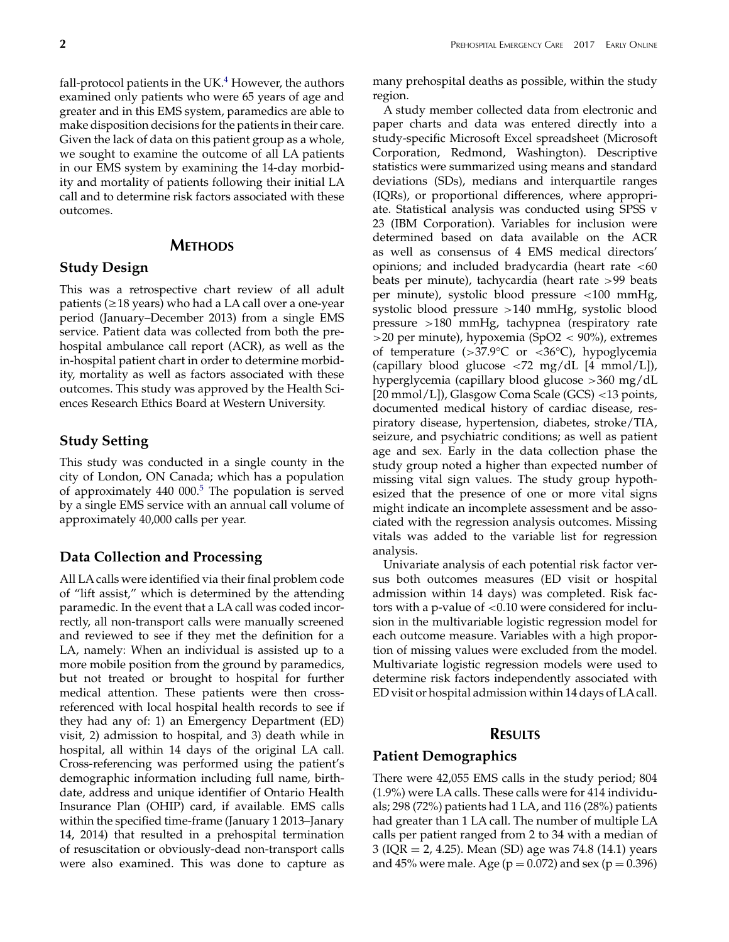fall-protocol patients in the UK. $4$  However, the authors examined only patients who were 65 years of age and greater and in this EMS system, paramedics are able to make disposition decisions for the patients in their care. Given the lack of data on this patient group as a whole, we sought to examine the outcome of all LA patients in our EMS system by examining the 14-day morbidity and mortality of patients following their initial LA call and to determine risk factors associated with these outcomes.

## **METHODS**

## **Study Design**

This was a retrospective chart review of all adult patients ( $\geq$ 18 years) who had a LA call over a one-year period (January–December 2013) from a single EMS service. Patient data was collected from both the prehospital ambulance call report (ACR), as well as the in-hospital patient chart in order to determine morbidity, mortality as well as factors associated with these outcomes. This study was approved by the Health Sciences Research Ethics Board at Western University.

## **Study Setting**

This study was conducted in a single county in the city of London, ON Canada; which has a population of approximately 440 000.[5](#page-7-3) The population is served by a single EMS service with an annual call volume of approximately 40,000 calls per year.

## **Data Collection and Processing**

All LA calls were identified via their final problem code of "lift assist," which is determined by the attending paramedic. In the event that a LA call was coded incorrectly, all non-transport calls were manually screened and reviewed to see if they met the definition for a LA, namely: When an individual is assisted up to a more mobile position from the ground by paramedics, but not treated or brought to hospital for further medical attention. These patients were then crossreferenced with local hospital health records to see if they had any of: 1) an Emergency Department (ED) visit, 2) admission to hospital, and 3) death while in hospital, all within 14 days of the original LA call. Cross-referencing was performed using the patient's demographic information including full name, birthdate, address and unique identifier of Ontario Health Insurance Plan (OHIP) card, if available. EMS calls within the specified time-frame (January 1 2013–Janary 14, 2014) that resulted in a prehospital termination of resuscitation or obviously-dead non-transport calls were also examined. This was done to capture as

many prehospital deaths as possible, within the study region.

A study member collected data from electronic and paper charts and data was entered directly into a study-specific Microsoft Excel spreadsheet (Microsoft Corporation, Redmond, Washington). Descriptive statistics were summarized using means and standard deviations (SDs), medians and interquartile ranges (IQRs), or proportional differences, where appropriate. Statistical analysis was conducted using SPSS v 23 (IBM Corporation). Variables for inclusion were determined based on data available on the ACR as well as consensus of 4 EMS medical directors' opinions; and included bradycardia (heart rate  $<60$ beats per minute), tachycardia (heart rate >99 beats per minute), systolic blood pressure <100 mmHg, systolic blood pressure >140 mmHg, systolic blood pressure >180 mmHg, tachypnea (respiratory rate >20 per minute), hypoxemia (SpO2 < 90%), extremes of temperature (>37.9°C or <36°C), hypoglycemia (capillary blood glucose <72 mg/dL [4 mmol/L]), hyperglycemia (capillary blood glucose >360 mg/dL [20 mmol/L]), Glasgow Coma Scale (GCS) <13 points, documented medical history of cardiac disease, respiratory disease, hypertension, diabetes, stroke/TIA, seizure, and psychiatric conditions; as well as patient age and sex. Early in the data collection phase the study group noted a higher than expected number of missing vital sign values. The study group hypothesized that the presence of one or more vital signs might indicate an incomplete assessment and be associated with the regression analysis outcomes. Missing vitals was added to the variable list for regression analysis.

Univariate analysis of each potential risk factor versus both outcomes measures (ED visit or hospital admission within 14 days) was completed. Risk factors with a p-value of <0.10 were considered for inclusion in the multivariable logistic regression model for each outcome measure. Variables with a high proportion of missing values were excluded from the model. Multivariate logistic regression models were used to determine risk factors independently associated with ED visit or hospital admission within 14 days of LA call.

## **RESULTS**

## **Patient Demographics**

Ther[e](#page-3-0) were 42,055 EMS calls in the study period; 804 (1.9%) were LA calls. These calls were for 414 individuals; 298 (72%) patients had 1 LA, and 116 (28%) patients had greater than 1 LA call. The number of multiple LA calls per patient ranged from 2 to 34 with a median of 3 (IQR = 2, 4.25). Mean (SD) age was 74.8 (14.1) years and 45% were male. Age ( $p = 0.072$ ) and sex ( $p = 0.396$ )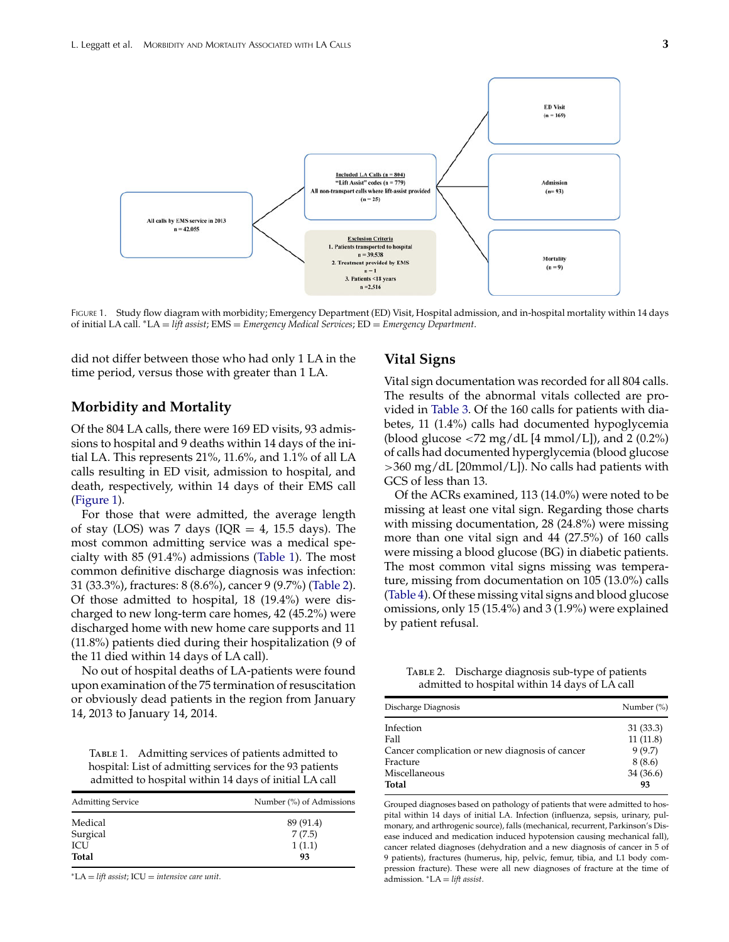<span id="page-3-0"></span>

FIGURE 1. Study flow diagram with morbidity; Emergency Department (ED) Visit, Hospital admission, and in-hospital mortality within 14 days of initial LA call. <sup>∗</sup>LA = *lift assist*; EMS = *Emergency Medical Services*; ED = *Emergency Department*.

did not differ between those who had only 1 LA in the time period, versus those with greater than 1 LA.

## **Morbidity and Mortality**

Of the 804 LA calls, there were 169 ED visits, 93 admissions to hospital and 9 deaths within 14 days of the initial LA. This represents 21%, 11.6%, and 1.1% of all LA calls resulting in ED visit, admission to hospital, and death, respectively, within 14 days of their EMS call [\(Figure 1\)](#page-3-0).

For those that were admitted, the average length of stay (LOS) was 7 days (IQR = 4, 15.5 days). The most common admitting service was a medical specialty with 85 (91.4%) admissions [\(Table 1\)](#page-3-1). The most common definitive discharge diagnosis was infection: 31 (33.3%), fractures: 8 (8.6%), cancer 9 (9.7%) [\(Table 2\)](#page-3-2). Of those admitted to hospital, 18 (19.4%) were discharged to new long-term care homes, 42 (45.2%) were discharged home with new home care supports and 11 (11.8%) patients died during their hospitalization (9 of the 11 died within 14 days of LA call).

No out of hospital deaths of LA-patients were found upon examination of the 75 termination of resuscitation or obviously dead patients in the region from January 14, 2013 to January 14, 2014.

<span id="page-3-1"></span>TABLE 1. Admitting services of patients admitted to hospital: List of admitting services for the 93 patients admitted to hospital within 14 days of initial LA call

| <b>Admitting Service</b> | Number (%) of Admissions |
|--------------------------|--------------------------|
| Medical                  | 89 (91.4)                |
| Surgical                 | 7(7.5)                   |
| ICU                      | 1(1.1)                   |
| Total                    | 93                       |

<sup>∗</sup>LA = *lift assist*; ICU = *intensive care unit*.

## **Vital Signs**

Vital sign documentation was recorded for all 804 calls. The results of the abnormal vitals collected are provided in [Table 3.](#page-4-0) Of the 160 calls for patients with diabetes, 11 (1.4%) calls had documented hypoglycemia (blood glucose  $\langle 72 \text{ mg/dL} [4 \text{ mmol/L}]$ ), and 2 (0.2%) of calls had documented hyperglycemia (blood glucose >360 mg/dL [20mmol/L]). No calls had patients with GCS of less than 13.

Of the ACRs examined, 113 (14.0%) were noted to be missing at least one vital sign. Regarding those charts with missing documentation, 28 (24.8%) were missing more than one vital sign and 44 (27.5%) of 160 calls were missing a blood glucose (BG) in diabetic patients. The most common vital signs missing was temperature, missing from documentation on 105 (13.0%) calls [\(Table 4\)](#page-4-1). Of these missing vital signs and blood glucose omissions, only 15 (15.4%) and 3 (1.9%) were explained by patient refusal.

<span id="page-3-2"></span>TABLE 2. Discharge diagnosis sub-type of patients admitted to hospital within 14 days of LA call

| Discharge Diagnosis                            | Number $(\%)$ |
|------------------------------------------------|---------------|
| Infection                                      | 31(33.3)      |
| Fall                                           | 11(11.8)      |
| Cancer complication or new diagnosis of cancer | 9(9.7)        |
| Fracture                                       | 8(8.6)        |
| Miscellaneous                                  | 34 (36.6)     |
| Total                                          | 93            |
|                                                |               |

Grouped diagnoses based on pathology of patients that were admitted to hospital within 14 days of initial LA. Infection (influenza, sepsis, urinary, pulmonary, and arthrogenic source), falls (mechanical, recurrent, Parkinson's Disease induced and medication induced hypotension causing mechanical fall), cancer related diagnoses (dehydration and a new diagnosis of cancer in 5 of 9 patients), fractures (humerus, hip, pelvic, femur, tibia, and L1 body compression fracture). These were all new diagnoses of fracture at the time of admission. <sup>∗</sup>LA = *lift assist*.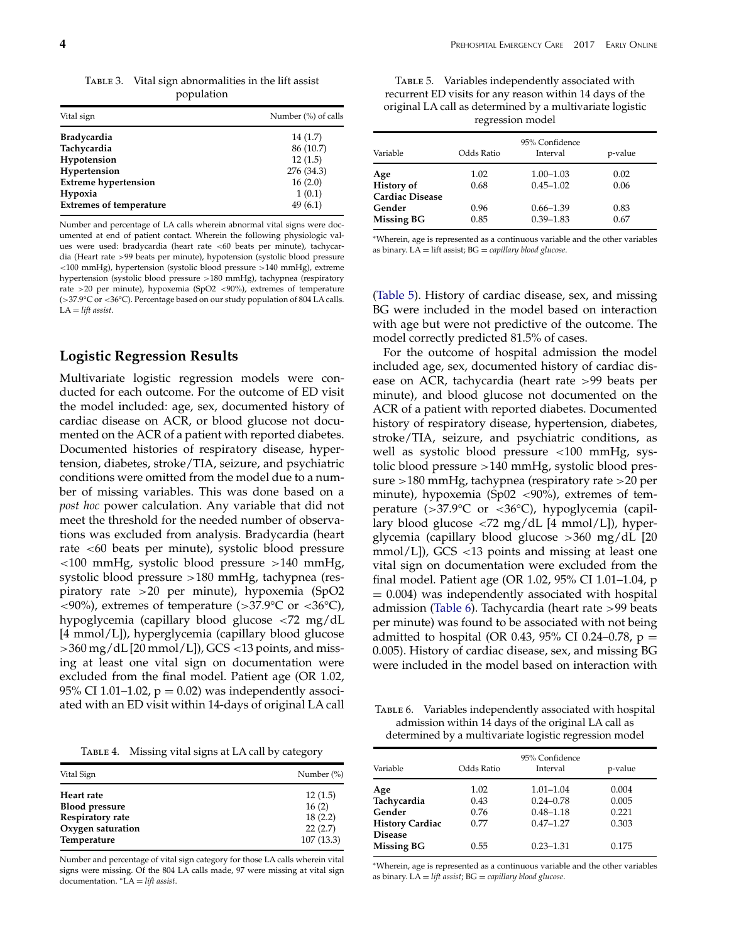<span id="page-4-0"></span>TABLE 3. Vital sign abnormalities in the lift assist population

| Vital sign                     | Number (%) of calls |
|--------------------------------|---------------------|
| <b>Bradycardia</b>             | 14(1.7)             |
| Tachycardia                    | 86 (10.7)           |
| Hypotension                    | 12(1.5)             |
| Hypertension                   | 276 (34.3)          |
| <b>Extreme</b> hypertension    | 16(2.0)             |
| Hypoxia                        | 1(0.1)              |
| <b>Extremes of temperature</b> | 49(6.1)             |

Number and percentage of LA calls wherein abnormal vital signs were documented at end of patient contact. Wherein the following physiologic values were used: bradycardia (heart rate <60 beats per minute), tachycardia (Heart rate >99 beats per minute), hypotension (systolic blood pressure <100 mmHg), hypertension (systolic blood pressure >140 mmHg), extreme hypertension (systolic blood pressure >180 mmHg), tachypnea (respiratory rate >20 per minute), hypoxemia (SpO2 <90%), extremes of temperature (>37.9°C or <36°C). Percentage based on our study population of 804 LA calls.  $LA = lift$  *assist.* 

## **Logistic Regression Results**

Multivariate logistic regression models were conducted for each outcome. For the outcome of ED visit the model included: age, sex, documented history of cardiac disease on ACR, or blood glucose not documented on the ACR of a patient with reported diabetes. Documented histories of respiratory disease, hypertension, diabetes, stroke/TIA, seizure, and psychiatric conditions were omitted from the model due to a number of missing variables. This was done based on a *post hoc* power calculation. Any variable that did not meet the threshold for the needed number of observations was excluded from analysis. Bradycardia (heart rate <60 beats per minute), systolic blood pressure <100 mmHg, systolic blood pressure >140 mmHg, systolic blood pressure >180 mmHg, tachypnea (respiratory rate >20 per minute), hypoxemia (SpO2  $\langle 90\%$ ), extremes of temperature (>37.9 $\degree$ C or  $\langle 36\degree$ C), hypoglycemia (capillary blood glucose <72 mg/dL [4 mmol/L]), hyperglycemia (capillary blood glucose  $>360$  mg/dL [20 mmol/L]), GCS  $<$ 13 points, and missing at least one vital sign on documentation were excluded from the final model. Patient age (OR 1.02, 95% CI 1.01–1.02,  $p = 0.02$ ) was independently associated with an ED visit within 14-days of original LA call

TABLE 4. Missing vital signs at LA call by category

<span id="page-4-1"></span>

| Vital Sign            | Number (%) |
|-----------------------|------------|
| Heart rate            | 12(1.5)    |
| <b>Blood pressure</b> | 16(2)      |
| Respiratory rate      | 18(2.2)    |
| Oxygen saturation     | 22(2.7)    |
| Temperature           | 107(13.3)  |

Number and percentage of vital sign category for those LA calls wherein vital signs were missing. Of the 804 LA calls made, 97 were missing at vital sign documentation. <sup>∗</sup>LA = *lift assist*.

<span id="page-4-2"></span>TABLE 5. Variables independently associated with recurrent ED visits for any reason within 14 days of the original LA call as determined by a multivariate logistic regression model

| Variable                                    | Odds Ratio   | 95% Confidence<br>Interval     | p-value      |
|---------------------------------------------|--------------|--------------------------------|--------------|
| Age<br>History of<br><b>Cardiac Disease</b> | 1.02<br>0.68 | $1.00 - 1.03$<br>$0.45 - 1.02$ | 0.02<br>0.06 |
| Gender<br>Missing BG                        | 0.96<br>0.85 | $0.66 - 1.39$<br>$0.39 - 1.83$ | 0.83<br>0.67 |

∗Wherein, age is represented as a continuous variable and the other variables as binary. LA = lift assist; BG = *capillary blood glucose*.

[\(Table 5\)](#page-4-2). History of cardiac disease, sex, and missing BG were included in the model based on interaction with age but were not predictive of the outcome. The model correctly predicted 81.5% of cases.

For the outcome of hospital admission the model included age, sex, documented history of cardiac disease on ACR, tachycardia (heart rate >99 beats per minute), and blood glucose not documented on the ACR of a patient with reported diabetes. Documented history of respiratory disease, hypertension, diabetes, stroke/TIA, seizure, and psychiatric conditions, as well as systolic blood pressure <100 mmHg, systolic blood pressure >140 mmHg, systolic blood pressure >180 mmHg, tachypnea (respiratory rate >20 per minute), hypoxemia (Sp02 <90%), extremes of temperature (>37.9°C or <36°C), hypoglycemia (capillary blood glucose <72 mg/dL [4 mmol/L]), hyperglycemia (capillary blood glucose >360 mg/dL [20  $mmol/L$ ]), GCS <13 points and missing at least one vital sign on documentation were excluded from the final model. Patient age (OR 1.02, 95% CI 1.01–1.04, p  $= 0.004$ ) was independently associated with hospital admission [\(Table 6\)](#page-4-3). Tachycardia (heart rate >99 beats per minute) was found to be associated with not being admitted to hospital (OR 0.43, 95% CI 0.24–0.78,  $p =$ 0.005). History of cardiac disease, sex, and missing BG were included in the model based on interaction with

<span id="page-4-3"></span>TABLE 6. Variables independently associated with hospital admission within 14 days of the original LA call as determined by a multivariate logistic regression model

| Variable                                                                 | Odds Ratio                   | 95% Confidence<br>Interval                                       | p-value                          |
|--------------------------------------------------------------------------|------------------------------|------------------------------------------------------------------|----------------------------------|
| Age<br>Tachycardia<br>Gender<br><b>History Cardiac</b><br><b>Disease</b> | 1.02<br>0.43<br>0.76<br>0.77 | $1.01 - 1.04$<br>$0.24 - 0.78$<br>$0.48 - 1.18$<br>$0.47 - 1.27$ | 0.004<br>0.005<br>0.221<br>0.303 |
| <b>Missing BG</b>                                                        | 0.55                         | $0.23 - 1.31$                                                    | 0.175                            |

∗Wherein, age is represented as a continuous variable and the other variables as binary. LA = *lift assist*; BG = *capillary blood glucose*.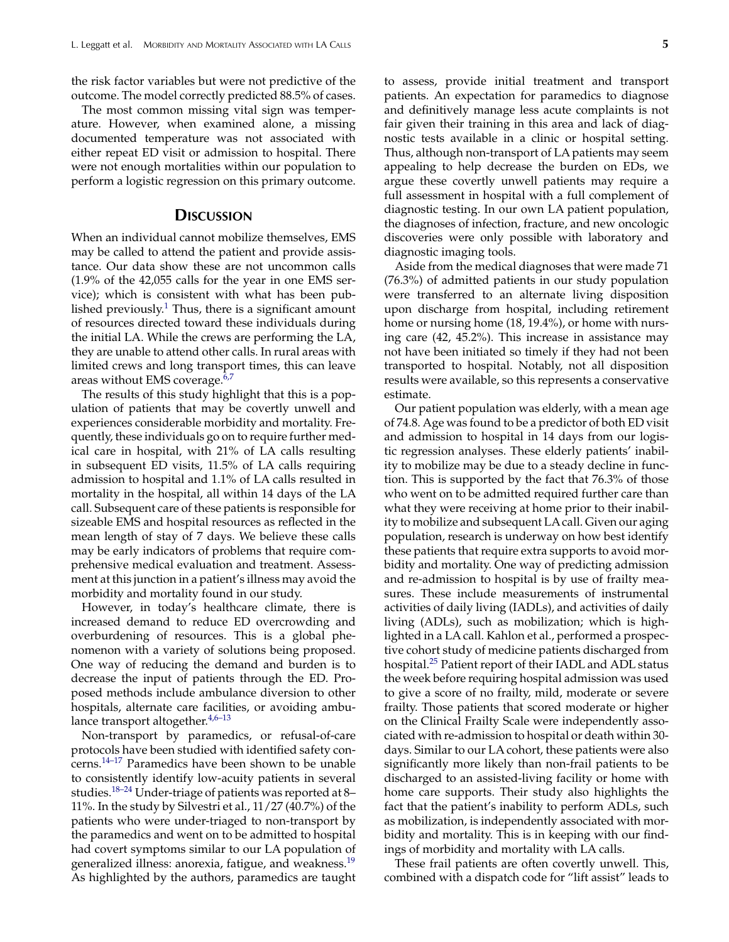the risk factor variables but were not predictive of the outcome. The model correctly predicted 88.5% of cases.

The most common missing vital sign was temperature. However, when examined alone, a missing documented temperature was not associated with either repeat ED visit or admission to hospital. There were not enough mortalities within our population to perform a logistic regression on this primary outcome.

## **DISCUSSION**

When an individual cannot mobilize themselves, EMS may be called to attend the patient and provide assistance. Our data show these are not uncommon calls (1.9% of the 42,055 calls for the year in one EMS service); which is consistent with what has been published previously.<sup>1</sup> Thus, there is a significant amount of resources directed toward these individuals during the initial LA. While the crews are performing the LA, they are unable to attend other calls. In rural areas with limited crews and long transport times, this can leave areas without EMS coverage.<sup>[6,7](#page-7-4)</sup>

The results of this study highlight that this is a population of patients that may be covertly unwell and experiences considerable morbidity and mortality. Frequently, these individuals go on to require further medical care in hospital, with 21% of LA calls resulting in subsequent ED visits, 11.5% of LA calls requiring admission to hospital and 1.1% of LA calls resulted in mortality in the hospital, all within 14 days of the LA call. Subsequent care of these patients is responsible for sizeable EMS and hospital resources as reflected in the mean length of stay of 7 days. We believe these calls may be early indicators of problems that require comprehensive medical evaluation and treatment. Assessment at this junction in a patient's illness may avoid the morbidity and mortality found in our study.

However, in today's healthcare climate, there is increased demand to reduce ED overcrowding and overburdening of resources. This is a global phenomenon with a variety of solutions being proposed. One way of reducing the demand and burden is to decrease the input of patients through the ED. Proposed methods include ambulance diversion to other hospitals, alternate care facilities, or avoiding ambulance transport altogether. $4,6-13$ 

Non-transport by paramedics, or refusal-of-care protocols have been studied with identified safety concerns.[14–17](#page-7-5) Paramedics have been shown to be unable to consistently identify low-acuity patients in several studies.[18–24](#page-7-6) Under-triage of patients was reported at 8– 11%. In the study by Silvestri et al., 11/27 (40.7%) of the patients who were under-triaged to non-transport by the paramedics and went on to be admitted to hospital had covert symptoms similar to our LA population of generalized illness: anorexia, fatigue, and weakness.<sup>19</sup> As highlighted by the authors, paramedics are taught to assess, provide initial treatment and transport patients. An expectation for paramedics to diagnose and definitively manage less acute complaints is not fair given their training in this area and lack of diagnostic tests available in a clinic or hospital setting. Thus, although non-transport of LA patients may seem appealing to help decrease the burden on EDs, we argue these covertly unwell patients may require a full assessment in hospital with a full complement of diagnostic testing. In our own LA patient population, the diagnoses of infection, fracture, and new oncologic discoveries were only possible with laboratory and diagnostic imaging tools.

Aside from the medical diagnoses that were made 71 (76.3%) of admitted patients in our study population were transferred to an alternate living disposition upon discharge from hospital, including retirement home or nursing home (18, 19.4%), or home with nursing care (42, 45.2%). This increase in assistance may not have been initiated so timely if they had not been transported to hospital. Notably, not all disposition results were available, so this represents a conservative estimate.

Our patient population was elderly, with a mean age of 74.8. Age was found to be a predictor of both ED visit and admission to hospital in 14 days from our logistic regression analyses. These elderly patients' inability to mobilize may be due to a steady decline in function. This is supported by the fact that 76.3% of those who went on to be admitted required further care than what they were receiving at home prior to their inability to mobilize and subsequent LA call. Given our aging population, research is underway on how best identify these patients that require extra supports to avoid morbidity and mortality. One way of predicting admission and re-admission to hospital is by use of frailty measures. These include measurements of instrumental activities of daily living (IADLs), and activities of daily living (ADLs), such as mobilization; which is highlighted in a LA call. Kahlon et al., performed a prospective cohort study of medicine patients discharged from hospital.<sup>[25](#page-7-8)</sup> Patient report of their IADL and ADL status the week before requiring hospital admission was used to give a score of no frailty, mild, moderate or severe frailty. Those patients that scored moderate or higher on the Clinical Frailty Scale were independently associated with re-admission to hospital or death within 30 days. Similar to our LA cohort, these patients were also significantly more likely than non-frail patients to be discharged to an assisted-living facility or home with home care supports. Their study also highlights the fact that the patient's inability to perform ADLs, such as mobilization, is independently associated with morbidity and mortality. This is in keeping with our findings of morbidity and mortality with LA calls.

These frail patients are often covertly unwell. This, combined with a dispatch code for "lift assist" leads to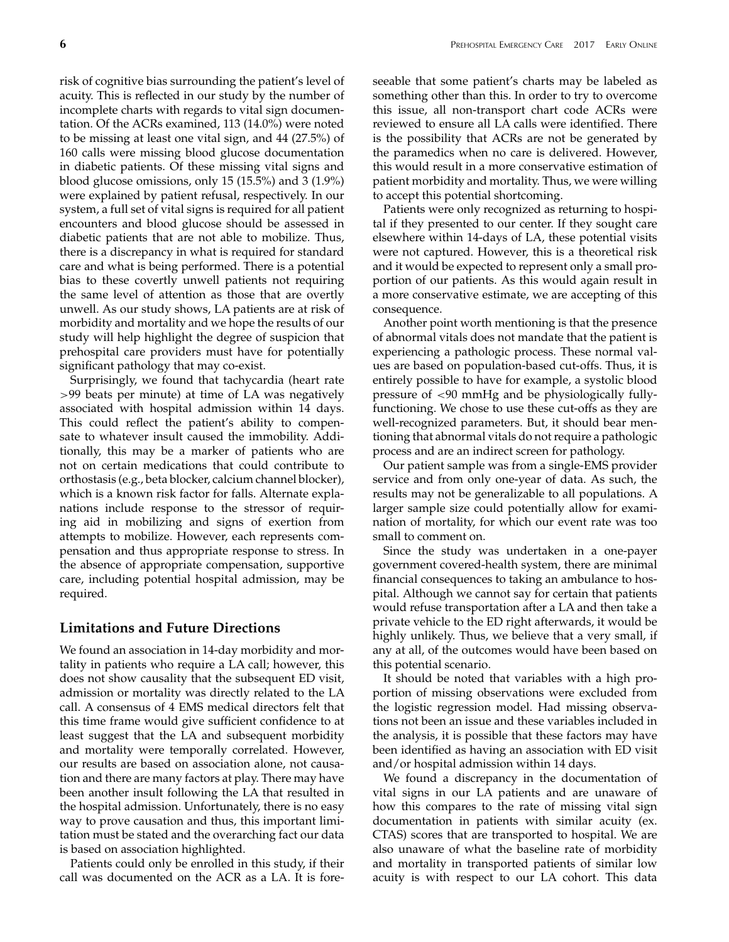risk of cognitive bias surrounding the patient's level of acuity. This is reflected in our study by the number of incomplete charts with regards to vital sign documentation. Of the ACRs examined, 113 (14.0%) were noted to be missing at least one vital sign, and 44 (27.5%) of 160 calls were missing blood glucose documentation in diabetic patients. Of these missing vital signs and blood glucose omissions, only 15 (15.5%) and 3 (1.9%) were explained by patient refusal, respectively. In our system, a full set of vital signs is required for all patient encounters and blood glucose should be assessed in diabetic patients that are not able to mobilize. Thus, there is a discrepancy in what is required for standard care and what is being performed. There is a potential bias to these covertly unwell patients not requiring the same level of attention as those that are overtly unwell. As our study shows, LA patients are at risk of morbidity and mortality and we hope the results of our study will help highlight the degree of suspicion that prehospital care providers must have for potentially significant pathology that may co-exist.

Surprisingly, we found that tachycardia (heart rate >99 beats per minute) at time of LA was negatively associated with hospital admission within 14 days. This could reflect the patient's ability to compensate to whatever insult caused the immobility. Additionally, this may be a marker of patients who are not on certain medications that could contribute to orthostasis (e.g., beta blocker, calcium channel blocker), which is a known risk factor for falls. Alternate explanations include response to the stressor of requiring aid in mobilizing and signs of exertion from attempts to mobilize. However, each represents compensation and thus appropriate response to stress. In the absence of appropriate compensation, supportive care, including potential hospital admission, may be required.

## **Limitations and Future Directions**

We found an association in 14-day morbidity and mortality in patients who require a LA call; however, this does not show causality that the subsequent ED visit, admission or mortality was directly related to the LA call. A consensus of 4 EMS medical directors felt that this time frame would give sufficient confidence to at least suggest that the LA and subsequent morbidity and mortality were temporally correlated. However, our results are based on association alone, not causation and there are many factors at play. There may have been another insult following the LA that resulted in the hospital admission. Unfortunately, there is no easy way to prove causation and thus, this important limitation must be stated and the overarching fact our data is based on association highlighted.

Patients could only be enrolled in this study, if their call was documented on the ACR as a LA. It is foreseeable that some patient's charts may be labeled as something other than this. In order to try to overcome this issue, all non-transport chart code ACRs were reviewed to ensure all LA calls were identified. There is the possibility that ACRs are not be generated by the paramedics when no care is delivered. However, this would result in a more conservative estimation of patient morbidity and mortality. Thus, we were willing to accept this potential shortcoming.

Patients were only recognized as returning to hospital if they presented to our center. If they sought care elsewhere within 14-days of LA, these potential visits were not captured. However, this is a theoretical risk and it would be expected to represent only a small proportion of our patients. As this would again result in a more conservative estimate, we are accepting of this consequence.

Another point worth mentioning is that the presence of abnormal vitals does not mandate that the patient is experiencing a pathologic process. These normal values are based on population-based cut-offs. Thus, it is entirely possible to have for example, a systolic blood pressure of <90 mmHg and be physiologically fullyfunctioning. We chose to use these cut-offs as they are well-recognized parameters. But, it should bear mentioning that abnormal vitals do not require a pathologic process and are an indirect screen for pathology.

Our patient sample was from a single-EMS provider service and from only one-year of data. As such, the results may not be generalizable to all populations. A larger sample size could potentially allow for examination of mortality, for which our event rate was too small to comment on.

Since the study was undertaken in a one-payer government covered-health system, there are minimal financial consequences to taking an ambulance to hospital. Although we cannot say for certain that patients would refuse transportation after a LA and then take a private vehicle to the ED right afterwards, it would be highly unlikely. Thus, we believe that a very small, if any at all, of the outcomes would have been based on this potential scenario.

It should be noted that variables with a high proportion of missing observations were excluded from the logistic regression model. Had missing observations not been an issue and these variables included in the analysis, it is possible that these factors may have been identified as having an association with ED visit and/or hospital admission within 14 days.

We found a discrepancy in the documentation of vital signs in our LA patients and are unaware of how this compares to the rate of missing vital sign documentation in patients with similar acuity (ex. CTAS) scores that are transported to hospital. We are also unaware of what the baseline rate of morbidity and mortality in transported patients of similar low acuity is with respect to our LA cohort. This data